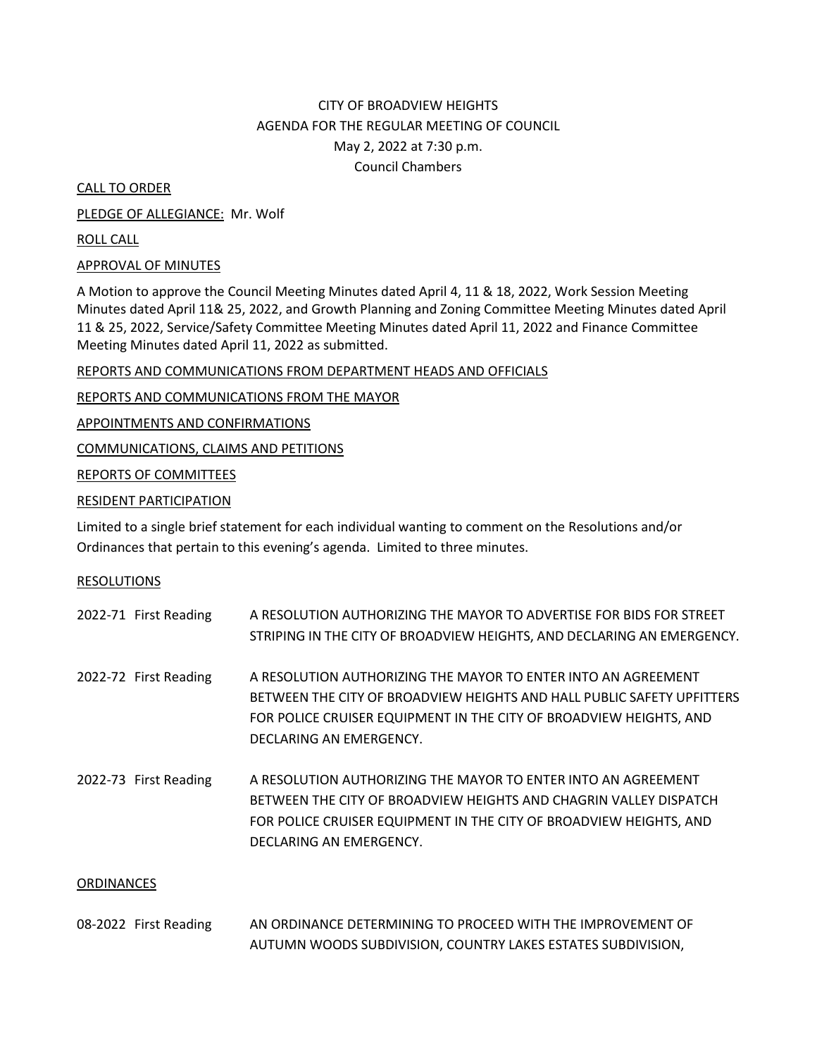## CITY OF BROADVIEW HEIGHTS AGENDA FOR THE REGULAR MEETING OF COUNCIL May 2, 2022 at 7:30 p.m. Council Chambers

CALL TO ORDER

PLEDGE OF ALLEGIANCE: Mr. Wolf

ROLL CALL

## APPROVAL OF MINUTES

A Motion to approve the Council Meeting Minutes dated April 4, 11 & 18, 2022, Work Session Meeting Minutes dated April 11& 25, 2022, and Growth Planning and Zoning Committee Meeting Minutes dated April 11 & 25, 2022, Service/Safety Committee Meeting Minutes dated April 11, 2022 and Finance Committee Meeting Minutes dated April 11, 2022 as submitted.

## REPORTS AND COMMUNICATIONS FROM DEPARTMENT HEADS AND OFFICIALS

REPORTS AND COMMUNICATIONS FROM THE MAYOR

APPOINTMENTS AND CONFIRMATIONS

COMMUNICATIONS, CLAIMS AND PETITIONS

REPORTS OF COMMITTEES

RESIDENT PARTICIPATION

Limited to a single brief statement for each individual wanting to comment on the Resolutions and/or Ordinances that pertain to this evening's agenda. Limited to three minutes.

## RESOLUTIONS

|            | 2022-71 First Reading | A RESOLUTION AUTHORIZING THE MAYOR TO ADVERTISE FOR BIDS FOR STREET<br>STRIPING IN THE CITY OF BROADVIEW HEIGHTS, AND DECLARING AN EMERGENCY.                                                                                            |  |
|------------|-----------------------|------------------------------------------------------------------------------------------------------------------------------------------------------------------------------------------------------------------------------------------|--|
|            | 2022-72 First Reading | A RESOLUTION AUTHORIZING THE MAYOR TO ENTER INTO AN AGREEMENT<br>BETWEEN THE CITY OF BROADVIEW HEIGHTS AND HALL PUBLIC SAFETY UPFITTERS<br>FOR POLICE CRUISER EQUIPMENT IN THE CITY OF BROADVIEW HEIGHTS, AND<br>DECLARING AN EMERGENCY. |  |
|            | 2022-73 First Reading | A RESOLUTION AUTHORIZING THE MAYOR TO ENTER INTO AN AGREEMENT<br>BETWEEN THE CITY OF BROADVIEW HEIGHTS AND CHAGRIN VALLEY DISPATCH<br>FOR POLICE CRUISER EQUIPMENT IN THE CITY OF BROADVIEW HEIGHTS, AND<br>DECLARING AN EMERGENCY.      |  |
| ORDINANCES |                       |                                                                                                                                                                                                                                          |  |

| 08-2022 First Reading | AN ORDINANCE DETERMINING TO PROCEED WITH THE IMPROVEMENT OF  |
|-----------------------|--------------------------------------------------------------|
|                       | AUTUMN WOODS SUBDIVISION, COUNTRY LAKES ESTATES SUBDIVISION, |